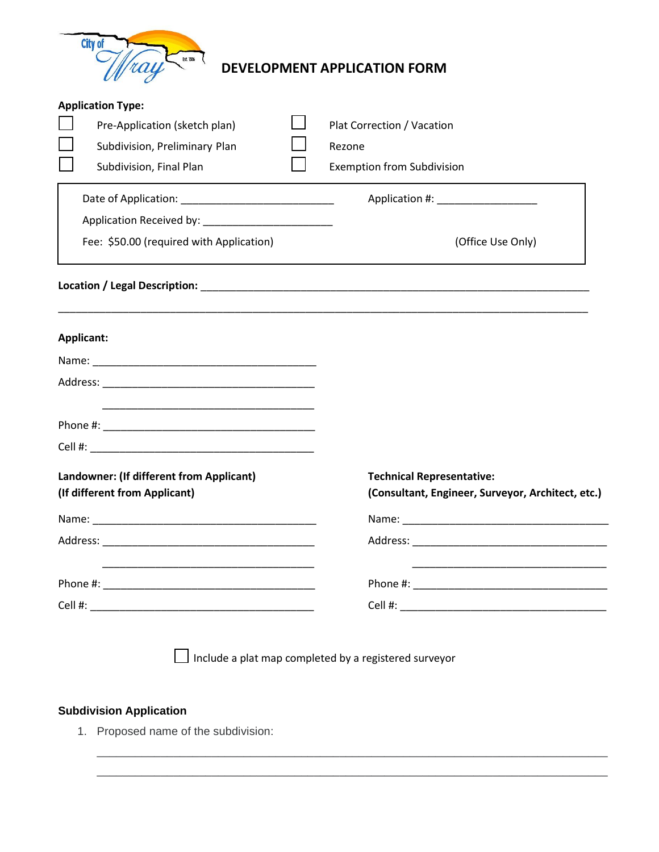

## **DEVELOPMENT APPLICATION FORM**

|                               | <b>Application Type:</b>                 |  |                                                   |  |  |  |  |
|-------------------------------|------------------------------------------|--|---------------------------------------------------|--|--|--|--|
|                               | Pre-Application (sketch plan)            |  | Plat Correction / Vacation                        |  |  |  |  |
|                               | Subdivision, Preliminary Plan            |  | Rezone                                            |  |  |  |  |
|                               | Subdivision, Final Plan                  |  | <b>Exemption from Subdivision</b>                 |  |  |  |  |
|                               |                                          |  | Application #: Network and Application #:         |  |  |  |  |
|                               |                                          |  |                                                   |  |  |  |  |
|                               | Fee: \$50.00 (required with Application) |  | (Office Use Only)                                 |  |  |  |  |
|                               |                                          |  |                                                   |  |  |  |  |
|                               | Applicant:                               |  |                                                   |  |  |  |  |
|                               |                                          |  |                                                   |  |  |  |  |
|                               |                                          |  |                                                   |  |  |  |  |
|                               |                                          |  |                                                   |  |  |  |  |
|                               |                                          |  |                                                   |  |  |  |  |
|                               | Landowner: (If different from Applicant) |  | <b>Technical Representative:</b>                  |  |  |  |  |
| (If different from Applicant) |                                          |  | (Consultant, Engineer, Surveyor, Architect, etc.) |  |  |  |  |
|                               |                                          |  |                                                   |  |  |  |  |
|                               |                                          |  |                                                   |  |  |  |  |
|                               |                                          |  |                                                   |  |  |  |  |
|                               |                                          |  |                                                   |  |  |  |  |
|                               |                                          |  |                                                   |  |  |  |  |

 $\Box$  Include a plat map completed by a registered surveyor

\_\_\_\_\_\_\_\_\_\_\_\_\_\_\_\_\_\_\_\_\_\_\_\_\_\_\_\_\_\_\_\_\_\_\_\_\_\_\_\_\_\_\_\_\_\_\_\_\_\_\_\_\_\_\_\_\_\_\_\_\_\_\_\_\_\_\_\_\_\_\_\_\_\_\_\_\_\_\_\_ \_\_\_\_\_\_\_\_\_\_\_\_\_\_\_\_\_\_\_\_\_\_\_\_\_\_\_\_\_\_\_\_\_\_\_\_\_\_\_\_\_\_\_\_\_\_\_\_\_\_\_\_\_\_\_\_\_\_\_\_\_\_\_\_\_\_\_\_\_\_\_\_\_\_\_\_\_\_\_\_

## **Subdivision Application**

1. Proposed name of the subdivision: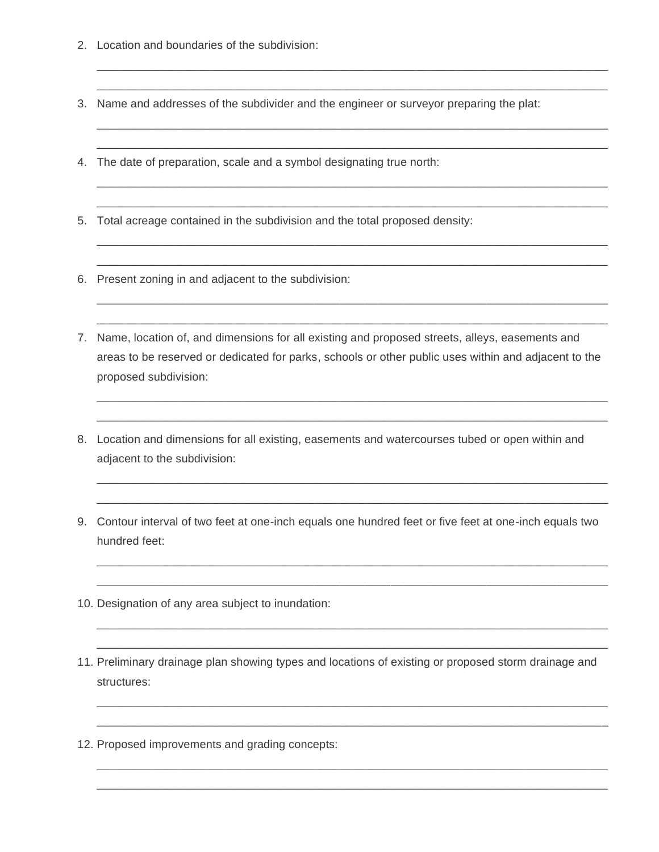- 2. Location and boundaries of the subdivision:
- 3. Name and addresses of the subdivider and the engineer or surveyor preparing the plat:

\_\_\_\_\_\_\_\_\_\_\_\_\_\_\_\_\_\_\_\_\_\_\_\_\_\_\_\_\_\_\_\_\_\_\_\_\_\_\_\_\_\_\_\_\_\_\_\_\_\_\_\_\_\_\_\_\_\_\_\_\_\_\_\_\_\_\_\_\_\_\_\_\_\_\_\_\_\_\_\_ \_\_\_\_\_\_\_\_\_\_\_\_\_\_\_\_\_\_\_\_\_\_\_\_\_\_\_\_\_\_\_\_\_\_\_\_\_\_\_\_\_\_\_\_\_\_\_\_\_\_\_\_\_\_\_\_\_\_\_\_\_\_\_\_\_\_\_\_\_\_\_\_\_\_\_\_\_\_\_\_

\_\_\_\_\_\_\_\_\_\_\_\_\_\_\_\_\_\_\_\_\_\_\_\_\_\_\_\_\_\_\_\_\_\_\_\_\_\_\_\_\_\_\_\_\_\_\_\_\_\_\_\_\_\_\_\_\_\_\_\_\_\_\_\_\_\_\_\_\_\_\_\_\_\_\_\_\_\_\_\_ \_\_\_\_\_\_\_\_\_\_\_\_\_\_\_\_\_\_\_\_\_\_\_\_\_\_\_\_\_\_\_\_\_\_\_\_\_\_\_\_\_\_\_\_\_\_\_\_\_\_\_\_\_\_\_\_\_\_\_\_\_\_\_\_\_\_\_\_\_\_\_\_\_\_\_\_\_\_\_\_

\_\_\_\_\_\_\_\_\_\_\_\_\_\_\_\_\_\_\_\_\_\_\_\_\_\_\_\_\_\_\_\_\_\_\_\_\_\_\_\_\_\_\_\_\_\_\_\_\_\_\_\_\_\_\_\_\_\_\_\_\_\_\_\_\_\_\_\_\_\_\_\_\_\_\_\_\_\_\_\_ \_\_\_\_\_\_\_\_\_\_\_\_\_\_\_\_\_\_\_\_\_\_\_\_\_\_\_\_\_\_\_\_\_\_\_\_\_\_\_\_\_\_\_\_\_\_\_\_\_\_\_\_\_\_\_\_\_\_\_\_\_\_\_\_\_\_\_\_\_\_\_\_\_\_\_\_\_\_\_\_

\_\_\_\_\_\_\_\_\_\_\_\_\_\_\_\_\_\_\_\_\_\_\_\_\_\_\_\_\_\_\_\_\_\_\_\_\_\_\_\_\_\_\_\_\_\_\_\_\_\_\_\_\_\_\_\_\_\_\_\_\_\_\_\_\_\_\_\_\_\_\_\_\_\_\_\_\_\_\_\_ \_\_\_\_\_\_\_\_\_\_\_\_\_\_\_\_\_\_\_\_\_\_\_\_\_\_\_\_\_\_\_\_\_\_\_\_\_\_\_\_\_\_\_\_\_\_\_\_\_\_\_\_\_\_\_\_\_\_\_\_\_\_\_\_\_\_\_\_\_\_\_\_\_\_\_\_\_\_\_\_

\_\_\_\_\_\_\_\_\_\_\_\_\_\_\_\_\_\_\_\_\_\_\_\_\_\_\_\_\_\_\_\_\_\_\_\_\_\_\_\_\_\_\_\_\_\_\_\_\_\_\_\_\_\_\_\_\_\_\_\_\_\_\_\_\_\_\_\_\_\_\_\_\_\_\_\_\_\_\_\_ \_\_\_\_\_\_\_\_\_\_\_\_\_\_\_\_\_\_\_\_\_\_\_\_\_\_\_\_\_\_\_\_\_\_\_\_\_\_\_\_\_\_\_\_\_\_\_\_\_\_\_\_\_\_\_\_\_\_\_\_\_\_\_\_\_\_\_\_\_\_\_\_\_\_\_\_\_\_\_\_

\_\_\_\_\_\_\_\_\_\_\_\_\_\_\_\_\_\_\_\_\_\_\_\_\_\_\_\_\_\_\_\_\_\_\_\_\_\_\_\_\_\_\_\_\_\_\_\_\_\_\_\_\_\_\_\_\_\_\_\_\_\_\_\_\_\_\_\_\_\_\_\_\_\_\_\_\_\_\_\_ \_\_\_\_\_\_\_\_\_\_\_\_\_\_\_\_\_\_\_\_\_\_\_\_\_\_\_\_\_\_\_\_\_\_\_\_\_\_\_\_\_\_\_\_\_\_\_\_\_\_\_\_\_\_\_\_\_\_\_\_\_\_\_\_\_\_\_\_\_\_\_\_\_\_\_\_\_\_\_\_

\_\_\_\_\_\_\_\_\_\_\_\_\_\_\_\_\_\_\_\_\_\_\_\_\_\_\_\_\_\_\_\_\_\_\_\_\_\_\_\_\_\_\_\_\_\_\_\_\_\_\_\_\_\_\_\_\_\_\_\_\_\_\_\_\_\_\_\_\_\_\_\_\_\_\_\_\_\_\_\_ \_\_\_\_\_\_\_\_\_\_\_\_\_\_\_\_\_\_\_\_\_\_\_\_\_\_\_\_\_\_\_\_\_\_\_\_\_\_\_\_\_\_\_\_\_\_\_\_\_\_\_\_\_\_\_\_\_\_\_\_\_\_\_\_\_\_\_\_\_\_\_\_\_\_\_\_\_\_\_\_

\_\_\_\_\_\_\_\_\_\_\_\_\_\_\_\_\_\_\_\_\_\_\_\_\_\_\_\_\_\_\_\_\_\_\_\_\_\_\_\_\_\_\_\_\_\_\_\_\_\_\_\_\_\_\_\_\_\_\_\_\_\_\_\_\_\_\_\_\_\_\_\_\_\_\_\_\_\_\_\_ \_\_\_\_\_\_\_\_\_\_\_\_\_\_\_\_\_\_\_\_\_\_\_\_\_\_\_\_\_\_\_\_\_\_\_\_\_\_\_\_\_\_\_\_\_\_\_\_\_\_\_\_\_\_\_\_\_\_\_\_\_\_\_\_\_\_\_\_\_\_\_\_\_\_\_\_\_\_\_\_

\_\_\_\_\_\_\_\_\_\_\_\_\_\_\_\_\_\_\_\_\_\_\_\_\_\_\_\_\_\_\_\_\_\_\_\_\_\_\_\_\_\_\_\_\_\_\_\_\_\_\_\_\_\_\_\_\_\_\_\_\_\_\_\_\_\_\_\_\_\_\_\_\_\_\_\_\_\_\_\_ \_\_\_\_\_\_\_\_\_\_\_\_\_\_\_\_\_\_\_\_\_\_\_\_\_\_\_\_\_\_\_\_\_\_\_\_\_\_\_\_\_\_\_\_\_\_\_\_\_\_\_\_\_\_\_\_\_\_\_\_\_\_\_\_\_\_\_\_\_\_\_\_\_\_\_\_\_\_\_\_

\_\_\_\_\_\_\_\_\_\_\_\_\_\_\_\_\_\_\_\_\_\_\_\_\_\_\_\_\_\_\_\_\_\_\_\_\_\_\_\_\_\_\_\_\_\_\_\_\_\_\_\_\_\_\_\_\_\_\_\_\_\_\_\_\_\_\_\_\_\_\_\_\_\_\_\_\_\_\_\_ \_\_\_\_\_\_\_\_\_\_\_\_\_\_\_\_\_\_\_\_\_\_\_\_\_\_\_\_\_\_\_\_\_\_\_\_\_\_\_\_\_\_\_\_\_\_\_\_\_\_\_\_\_\_\_\_\_\_\_\_\_\_\_\_\_\_\_\_\_\_\_\_\_\_\_\_\_\_\_\_

\_\_\_\_\_\_\_\_\_\_\_\_\_\_\_\_\_\_\_\_\_\_\_\_\_\_\_\_\_\_\_\_\_\_\_\_\_\_\_\_\_\_\_\_\_\_\_\_\_\_\_\_\_\_\_\_\_\_\_\_\_\_\_\_\_\_\_\_\_\_\_\_\_\_\_\_\_\_\_\_ \_\_\_\_\_\_\_\_\_\_\_\_\_\_\_\_\_\_\_\_\_\_\_\_\_\_\_\_\_\_\_\_\_\_\_\_\_\_\_\_\_\_\_\_\_\_\_\_\_\_\_\_\_\_\_\_\_\_\_\_\_\_\_\_\_\_\_\_\_\_\_\_\_\_\_\_\_\_\_\_

- 4. The date of preparation, scale and a symbol designating true north:
- 5. Total acreage contained in the subdivision and the total proposed density:
- 6. Present zoning in and adjacent to the subdivision:
- 7. Name, location of, and dimensions for all existing and proposed streets, alleys, easements and areas to be reserved or dedicated for parks, schools or other public uses within and adjacent to the proposed subdivision:
- 8. Location and dimensions for all existing, easements and watercourses tubed or open within and adjacent to the subdivision:
- 9. Contour interval of two feet at one-inch equals one hundred feet or five feet at one-inch equals two hundred feet:
- 10. Designation of any area subject to inundation:
- 11. Preliminary drainage plan showing types and locations of existing or proposed storm drainage and structures:
- 12. Proposed improvements and grading concepts: